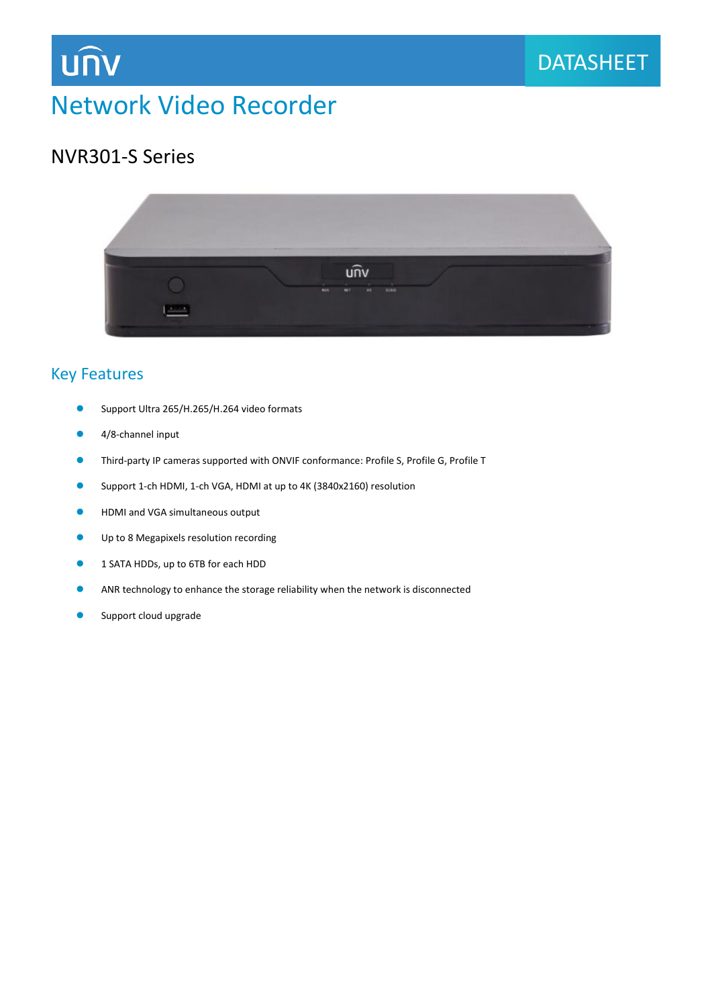

# Network Video Recorder

## NVR301-S Series

**UNV** 



#### Key Features

- Support Ultra 265/H.265/H.264 video formats
- 4/8-channel input
- Third-party IP cameras supported with ONVIF conformance: Profile S, Profile G, Profile T
- Support 1-ch HDMI, 1-ch VGA, HDMI at up to 4K (3840x2160) resolution
- **•** HDMI and VGA simultaneous output
- Up to 8 Megapixels resolution recording
- **1 SATA HDDs, up to 6TB for each HDD**
- ANR technology to enhance the storage reliability when the network is disconnected
- Support cloud upgrade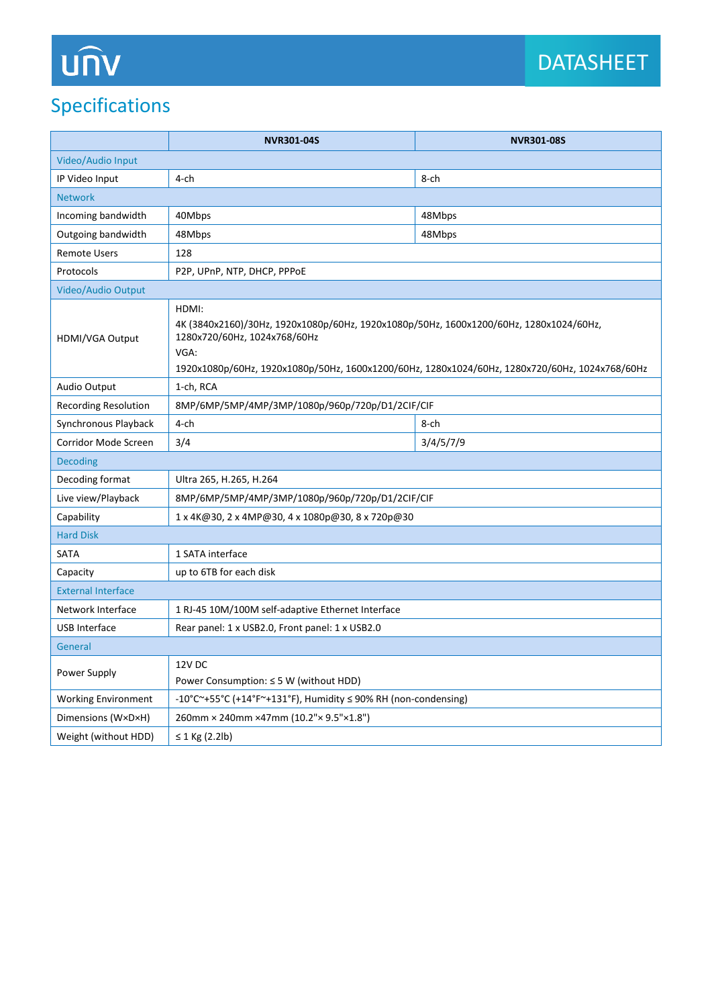## Specifications

|                             | <b>NVR301-04S</b>                                                                                                                                                                                                                         | <b>NVR301-08S</b> |
|-----------------------------|-------------------------------------------------------------------------------------------------------------------------------------------------------------------------------------------------------------------------------------------|-------------------|
| Video/Audio Input           |                                                                                                                                                                                                                                           |                   |
| IP Video Input              | 4-ch                                                                                                                                                                                                                                      | 8-ch              |
| <b>Network</b>              |                                                                                                                                                                                                                                           |                   |
| Incoming bandwidth          | 40Mbps                                                                                                                                                                                                                                    | 48Mbps            |
| Outgoing bandwidth          | 48Mbps                                                                                                                                                                                                                                    | 48Mbps            |
| <b>Remote Users</b>         | 128                                                                                                                                                                                                                                       |                   |
| Protocols                   | P2P, UPnP, NTP, DHCP, PPPoE                                                                                                                                                                                                               |                   |
| Video/Audio Output          |                                                                                                                                                                                                                                           |                   |
| HDMI/VGA Output             | HDMI:<br>4K (3840x2160)/30Hz, 1920x1080p/60Hz, 1920x1080p/50Hz, 1600x1200/60Hz, 1280x1024/60Hz,<br>1280x720/60Hz, 1024x768/60Hz<br>VGA:<br>1920x1080p/60Hz, 1920x1080p/50Hz, 1600x1200/60Hz, 1280x1024/60Hz, 1280x720/60Hz, 1024x768/60Hz |                   |
| <b>Audio Output</b>         | 1-ch, RCA                                                                                                                                                                                                                                 |                   |
| <b>Recording Resolution</b> | 8MP/6MP/5MP/4MP/3MP/1080p/960p/720p/D1/2CIF/CIF                                                                                                                                                                                           |                   |
| Synchronous Playback        | 4-ch                                                                                                                                                                                                                                      | 8-ch              |
| Corridor Mode Screen        | 3/4                                                                                                                                                                                                                                       | 3/4/5/7/9         |
| <b>Decoding</b>             |                                                                                                                                                                                                                                           |                   |
| Decoding format             | Ultra 265, H.265, H.264                                                                                                                                                                                                                   |                   |
| Live view/Playback          | 8MP/6MP/5MP/4MP/3MP/1080p/960p/720p/D1/2CIF/CIF                                                                                                                                                                                           |                   |
| Capability                  | 1 x 4K@30, 2 x 4MP@30, 4 x 1080p@30, 8 x 720p@30                                                                                                                                                                                          |                   |
| <b>Hard Disk</b>            |                                                                                                                                                                                                                                           |                   |
| SATA                        | 1 SATA interface                                                                                                                                                                                                                          |                   |
| Capacity                    | up to 6TB for each disk                                                                                                                                                                                                                   |                   |
| <b>External Interface</b>   |                                                                                                                                                                                                                                           |                   |
| Network Interface           | 1 RJ-45 10M/100M self-adaptive Ethernet Interface                                                                                                                                                                                         |                   |
| <b>USB Interface</b>        | Rear panel: 1 x USB2.0, Front panel: 1 x USB2.0                                                                                                                                                                                           |                   |
| General                     |                                                                                                                                                                                                                                           |                   |
| Power Supply                | 12V DC<br>Power Consumption: $\leq$ 5 W (without HDD)                                                                                                                                                                                     |                   |
| <b>Working Environment</b>  | -10°C~+55°C (+14°F~+131°F), Humidity $\leq$ 90% RH (non-condensing)                                                                                                                                                                       |                   |
| Dimensions (W×D×H)          | 260mm × 240mm × 47mm (10.2"× 9.5"×1.8")                                                                                                                                                                                                   |                   |
| Weight (without HDD)        | $\leq$ 1 Kg (2.2lb)                                                                                                                                                                                                                       |                   |